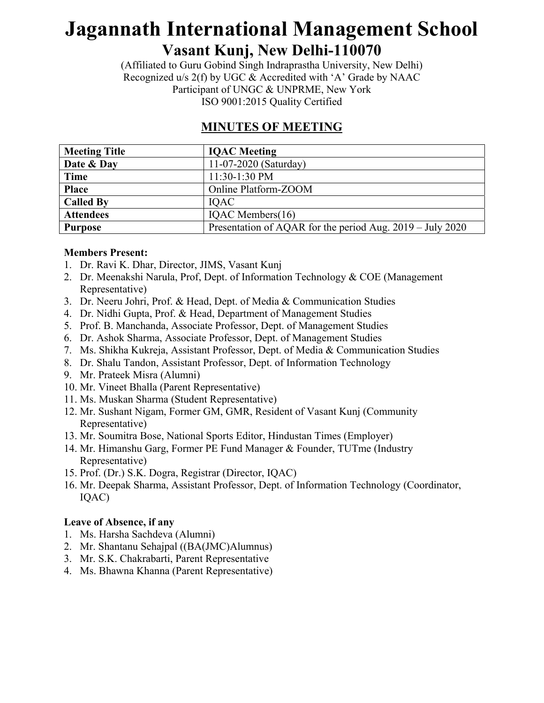(Affiliated to Guru Gobind Singh Indraprastha University, New Delhi) Recognized u/s 2(f) by UGC & Accredited with 'A' Grade by NAAC Participant of UNGC & UNPRME, New York ISO 9001:2015 Quality Certified

#### **MINUTES OF MEETING**

| <b>Meeting Title</b> | <b>IQAC</b> Meeting                                       |
|----------------------|-----------------------------------------------------------|
| Date & Day           | 11-07-2020 (Saturday)                                     |
| <b>Time</b>          | 11:30-1:30 PM                                             |
| <b>Place</b>         | Online Platform-ZOOM                                      |
| <b>Called By</b>     | <b>IOAC</b>                                               |
| <b>Attendees</b>     | IQAC Members(16)                                          |
| <b>Purpose</b>       | Presentation of AQAR for the period Aug. 2019 – July 2020 |

#### **Members Present:**

- 1. Dr. Ravi K. Dhar, Director, JIMS, Vasant Kunj
- 2. Dr. Meenakshi Narula, Prof, Dept. of Information Technology & COE (Management Representative)
- 3. Dr. Neeru Johri, Prof. & Head, Dept. of Media & Communication Studies
- 4. Dr. Nidhi Gupta, Prof. & Head, Department of Management Studies
- 5. Prof. B. Manchanda, Associate Professor, Dept. of Management Studies
- 6. Dr. Ashok Sharma, Associate Professor, Dept. of Management Studies
- 7. Ms. Shikha Kukreja, Assistant Professor, Dept. of Media & Communication Studies
- 8. Dr. Shalu Tandon, Assistant Professor, Dept. of Information Technology
- 9. Mr. Prateek Misra (Alumni)
- 10. Mr. Vineet Bhalla (Parent Representative)
- 11. Ms. Muskan Sharma (Student Representative)
- 12. Mr. Sushant Nigam, Former GM, GMR, Resident of Vasant Kunj (Community Representative)
- 13. Mr. Soumitra Bose, National Sports Editor, Hindustan Times (Employer)
- 14. Mr. Himanshu Garg, Former PE Fund Manager & Founder, TUTme (Industry Representative)
- 15. Prof. (Dr.) S.K. Dogra, Registrar (Director, IQAC)
- 16. Mr. Deepak Sharma, Assistant Professor, Dept. of Information Technology (Coordinator, IQAC)

#### **Leave of Absence, if any**

- 1. Ms. Harsha Sachdeva (Alumni)
- 2. Mr. Shantanu Sehajpal ((BA(JMC)Alumnus)
- 3. Mr. S.K. Chakrabarti, Parent Representative
- 4. Ms. Bhawna Khanna (Parent Representative)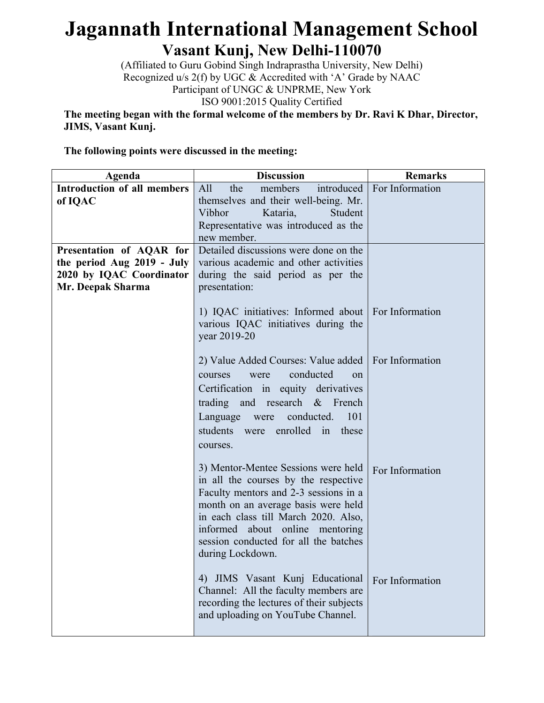(Affiliated to Guru Gobind Singh Indraprastha University, New Delhi) Recognized u/s 2(f) by UGC & Accredited with 'A' Grade by NAAC Participant of UNGC & UNPRME, New York ISO 9001:2015 Quality Certified

**The meeting began with the formal welcome of the members by Dr. Ravi K Dhar, Director, JIMS, Vasant Kunj.** 

**The following points were discussed in the meeting:** 

| Agenda                                                                                                  | <b>Discussion</b>                                                                                                                                                                                                                                                                                   | <b>Remarks</b>               |
|---------------------------------------------------------------------------------------------------------|-----------------------------------------------------------------------------------------------------------------------------------------------------------------------------------------------------------------------------------------------------------------------------------------------------|------------------------------|
| <b>Introduction of all members</b><br>of IQAC                                                           | All<br>members<br>the<br>themselves and their well-being. Mr.                                                                                                                                                                                                                                       | introduced   For Information |
|                                                                                                         | Vibhor<br>Kataria,<br>Student<br>Representative was introduced as the<br>new member.                                                                                                                                                                                                                |                              |
| Presentation of AQAR for<br>the period Aug 2019 - July<br>2020 by IQAC Coordinator<br>Mr. Deepak Sharma | Detailed discussions were done on the<br>various academic and other activities<br>during the said period as per the<br>presentation:                                                                                                                                                                |                              |
|                                                                                                         | 1) IQAC initiatives: Informed about   For Information<br>various IQAC initiatives during the<br>year 2019-20                                                                                                                                                                                        |                              |
|                                                                                                         | 2) Value Added Courses: Value added   For Information<br>conducted<br>courses<br>were<br>$^{on}$<br>Certification in equity derivatives<br>trading and research & French<br>101<br>Language were<br>conducted.<br>students were enrolled in these<br>courses.                                       |                              |
|                                                                                                         | 3) Mentor-Mentee Sessions were held<br>in all the courses by the respective<br>Faculty mentors and 2-3 sessions in a<br>month on an average basis were held<br>in each class till March 2020. Also,<br>informed about online mentoring<br>session conducted for all the batches<br>during Lockdown. | For Information              |
|                                                                                                         | JIMS Vasant Kunj Educational<br>4)<br>Channel: All the faculty members are<br>recording the lectures of their subjects<br>and uploading on YouTube Channel.                                                                                                                                         | For Information              |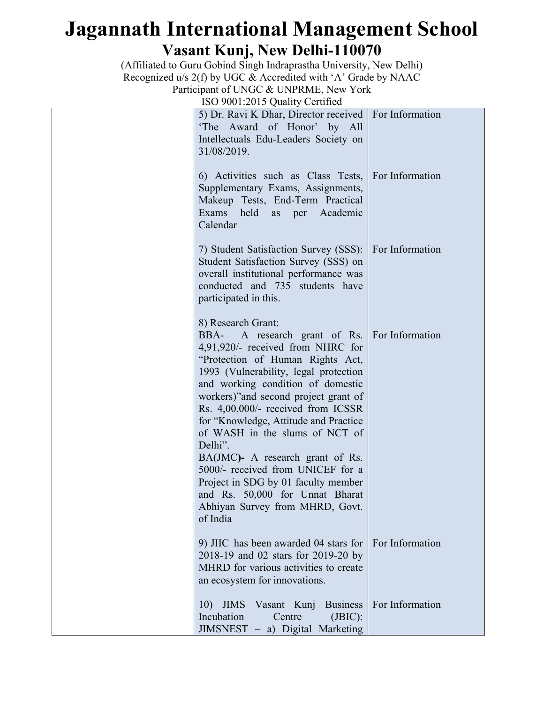(Affiliated to Guru Gobind Singh Indraprastha University, New Delhi) Recognized u/s 2(f) by UGC & Accredited with 'A' Grade by NAAC Participant of UNGC & UNPRME, New York

ISO 9001:2015 Quality Certified

| 150 room. 2015 Quality Centrical                                                                                                                                                                                                                                                                                                                                                                                                                                                                                                                                                                    |                 |
|-----------------------------------------------------------------------------------------------------------------------------------------------------------------------------------------------------------------------------------------------------------------------------------------------------------------------------------------------------------------------------------------------------------------------------------------------------------------------------------------------------------------------------------------------------------------------------------------------------|-----------------|
| 5) Dr. Ravi K Dhar, Director received   For Information<br>'The Award of Honor' by All<br>Intellectuals Edu-Leaders Society on<br>31/08/2019.                                                                                                                                                                                                                                                                                                                                                                                                                                                       |                 |
| 6) Activities such as Class Tests, For Information<br>Supplementary Exams, Assignments,<br>Makeup Tests, End-Term Practical<br>Exams held<br>as per Academic<br>Calendar                                                                                                                                                                                                                                                                                                                                                                                                                            |                 |
| 7) Student Satisfaction Survey (SSS):<br>Student Satisfaction Survey (SSS) on<br>overall institutional performance was<br>conducted and 735 students have<br>participated in this.                                                                                                                                                                                                                                                                                                                                                                                                                  | For Information |
| 8) Research Grant:<br>BBA- A research grant of Rs.   For Information<br>4,91,920/- received from NHRC for<br>"Protection of Human Rights Act,<br>1993 (Vulnerability, legal protection<br>and working condition of domestic<br>workers)" and second project grant of<br>Rs. 4,00,000/- received from ICSSR<br>for "Knowledge, Attitude and Practice"<br>of WASH in the slums of NCT of<br>Delhi".<br>BA(JMC)- A research grant of Rs.<br>5000/- received from UNICEF for a<br>Project in SDG by 01 faculty member<br>and Rs. 50,000 for Unnat Bharat<br>Abhiyan Survey from MHRD, Govt.<br>of India |                 |
| 9) JIIC has been awarded 04 stars for<br>2018-19 and 02 stars for 2019-20 by<br>MHRD for various activities to create<br>an ecosystem for innovations.                                                                                                                                                                                                                                                                                                                                                                                                                                              | For Information |
| 10) JIMS Vasant Kunj Business<br>Centre<br>Incubation<br>(BIC):<br>JIMSNEST - a) Digital Marketing                                                                                                                                                                                                                                                                                                                                                                                                                                                                                                  | For Information |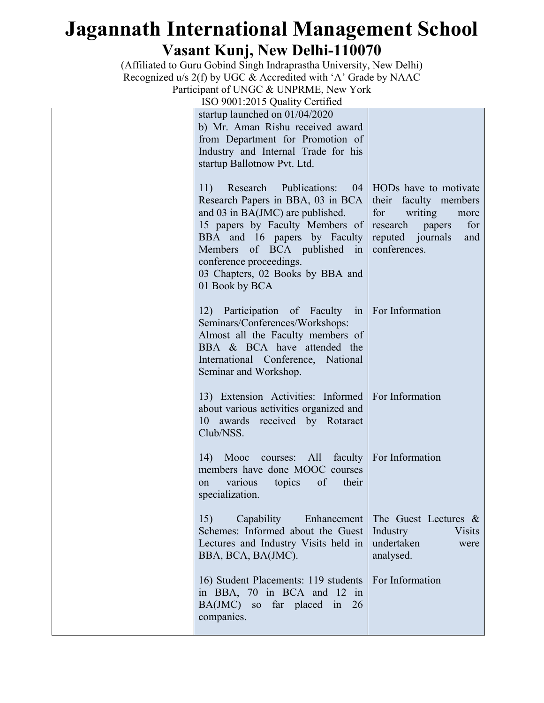(Affiliated to Guru Gobind Singh Indraprastha University, New Delhi) Recognized u/s 2(f) by UGC & Accredited with 'A' Grade by NAAC Participant of UNGC & UNPRME, New York

ISO 9001:2015 Quality Certified

| startup launched on 01/04/2020<br>b) Mr. Aman Rishu received award<br>from Department for Promotion of<br>Industry and Internal Trade for his<br>startup Ballotnow Pvt. Ltd.                                                                                                                          |                                                                                                                                           |
|-------------------------------------------------------------------------------------------------------------------------------------------------------------------------------------------------------------------------------------------------------------------------------------------------------|-------------------------------------------------------------------------------------------------------------------------------------------|
| Research<br>Publications:<br>11)<br>Research Papers in BBA, 03 in BCA<br>and 03 in BA(JMC) are published.<br>15 papers by Faculty Members of research<br>BBA and 16 papers by Faculty<br>Members of BCA published in<br>conference proceedings.<br>03 Chapters, 02 Books by BBA and<br>01 Book by BCA | 04   HODs have to motivate<br>their faculty members<br>for<br>writing<br>more<br>for<br>papers<br>reputed journals<br>and<br>conferences. |
| 12) Participation of Faculty in For Information<br>Seminars/Conferences/Workshops:<br>Almost all the Faculty members of<br>BBA & BCA have attended the<br>International Conference, National<br>Seminar and Workshop.                                                                                 |                                                                                                                                           |
| 13) Extension Activities: Informed   For Information<br>about various activities organized and<br>10 awards received by Rotaract<br>Club/NSS.                                                                                                                                                         |                                                                                                                                           |
| 14) Mooc courses: All faculty   For Information<br>members have done MOOC courses<br>topics<br>of<br>their<br>various<br>on<br>specialization.                                                                                                                                                        |                                                                                                                                           |
| 15)<br>Capability<br>Enhancement  <br>Schemes: Informed about the Guest<br>Lectures and Industry Visits held in<br>BBA, BCA, BA(JMC).                                                                                                                                                                 | The Guest Lectures &<br>Industry<br><b>Visits</b><br>undertaken<br>were<br>analysed.                                                      |
| 16) Student Placements: 119 students<br>in BBA, 70 in BCA and 12<br>in<br>BA(JMC) so far placed in<br>26<br>companies.                                                                                                                                                                                | For Information                                                                                                                           |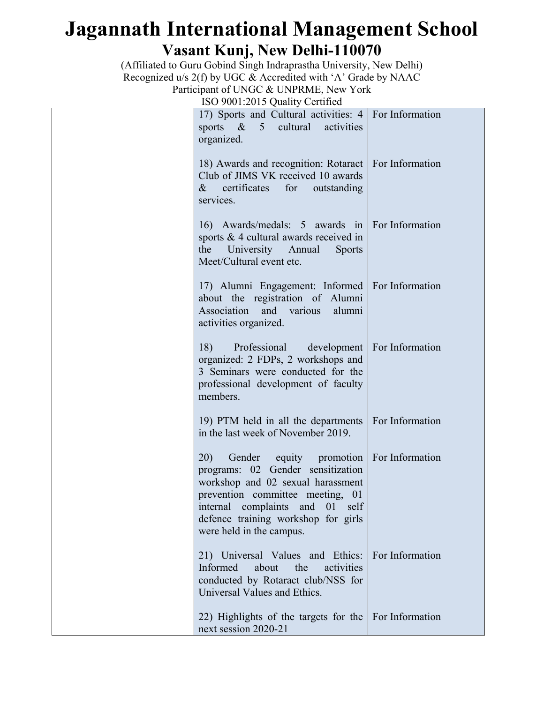(Affiliated to Guru Gobind Singh Indraprastha University, New Delhi) Recognized u/s 2(f) by UGC & Accredited with 'A' Grade by NAAC Participant of UNGC & UNPRME, New York

ISO 9001:2015 Quality Certified

| 100 JO01.2013 Quality Centrical                                                                                                                                                                                                                          |                 |
|----------------------------------------------------------------------------------------------------------------------------------------------------------------------------------------------------------------------------------------------------------|-----------------|
| 17) Sports and Cultural activities: 4   For Information<br>activities<br>sports $\&$<br>5 <sup>7</sup><br>cultural<br>organized.                                                                                                                         |                 |
| 18) Awards and recognition: Rotaract   For Information<br>Club of JIMS VK received 10 awards<br>certificates for outstanding<br>$\&$<br>services.                                                                                                        |                 |
| 16) Awards/medals: 5 awards in For Information<br>sports $& 4$ cultural awards received in<br>University Annual<br>the<br><b>Sports</b><br>Meet/Cultural event etc.                                                                                      |                 |
| 17) Alumni Engagement: Informed   For Information<br>about the registration of Alumni<br>Association and various<br>alumni<br>activities organized.                                                                                                      |                 |
| 18)<br>Professional development   For Information<br>organized: 2 FDPs, 2 workshops and<br>3 Seminars were conducted for the<br>professional development of faculty<br>members.                                                                          |                 |
| 19) PTM held in all the departments<br>in the last week of November 2019.                                                                                                                                                                                | For Information |
| 20)<br>Gender equity promotion<br>programs: 02 Gender sensitization<br>workshop and 02 sexual harassment<br>prevention committee meeting, 01<br>complaints and 01<br>internal<br>self<br>defence training workshop for girls<br>were held in the campus. | For Information |
| 21) Universal Values and Ethics: For Information<br>Informed<br>about<br>the<br>activities<br>conducted by Rotaract club/NSS for<br>Universal Values and Ethics.                                                                                         |                 |
| 22) Highlights of the targets for the<br>next session 2020-21                                                                                                                                                                                            | For Information |